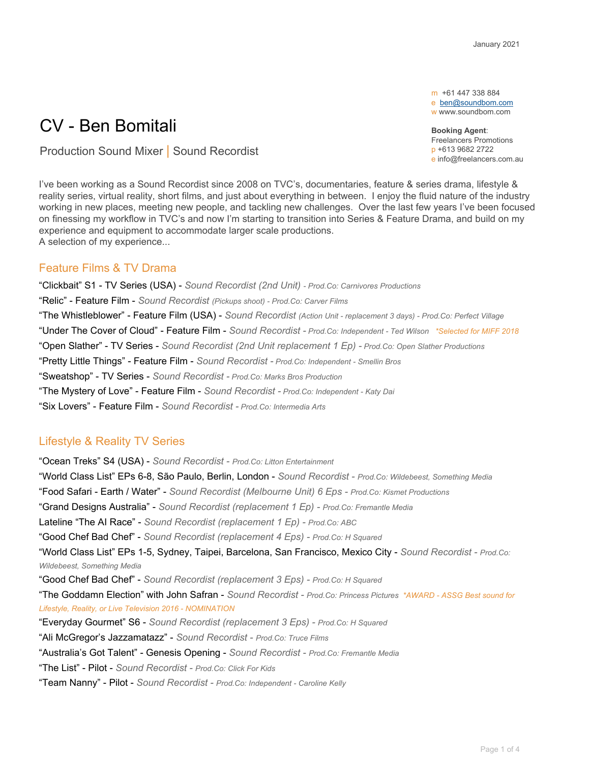m +61 447 338 884 e [ben@soundbom.com](mailto:ben@soundbom.com) w www.soundbom.com

**Booking Agent**: Freelancers Promotions p +613 9682 2722 e info@freelancers.com.au

# CV - Ben Bomitali

Production Sound Mixer | Sound Recordist

I've been working as a Sound Recordist since 2008 on TVC's, documentaries, feature & series drama, lifestyle & reality series, virtual reality, short films, and just about everything in between. I enjoy the fluid nature of the industry working in new places, meeting new people, and tackling new challenges. Over the last few years I've been focused on finessing my workflow in TVC's and now I'm starting to transition into Series & Feature Drama, and build on my experience and equipment to accommodate larger scale productions. A selection of my experience...

# Feature Films & TV Drama

"Clickbait" S1 - TV Series (USA) - *Sound Recordist (2nd Unit) - Prod.Co: Carnivores Productions* "Relic" - Feature Film - *Sound Recordist (Pickups shoot) - Prod.Co: Carver Films* "The Whistleblower" - Feature Film (USA) - *Sound Recordist (Action Unit - replacement 3 days) - Prod.Co: Perfect Village* "Under The Cover of Cloud" - Feature Film - *Sound Recordist - Prod.Co: Independent - Ted Wilson \*Selected for MIFF 2018* "Open Slather" - TV Series - *Sound Recordist (2nd Unit replacement 1 Ep) - Prod.Co: Open Slather Productions* "Pretty Little Things" - Feature Film - *Sound Recordist - Prod.Co: Independent - Smellin Bros* "Sweatshop" - TV Series - *Sound Recordist - Prod.Co: Marks Bros Production* "The Mystery of Love" - Feature Film - *Sound Recordist - Prod.Co: Independent - Katy Dai* "Six Lovers" - Feature Film - *Sound Recordist - Prod.Co: Intermedia Arts*

# Lifestyle & Reality TV Series

"Ocean Treks" S4 (USA) - *Sound Recordist - Prod.Co: Litton Entertainment* "World Class List" EPs 6-8, São Paulo, Berlin, London - *Sound Recordist - Prod.Co: Wildebeest, Something Media* "Food Safari - Earth / Water" - *Sound Recordist (Melbourne Unit) 6 Eps - Prod.Co: Kismet Productions* "Grand Designs Australia" - *Sound Recordist (replacement 1 Ep) - Prod.Co: Fremantle Media* Lateline "The AI Race" - *Sound Recordist (replacement 1 Ep) - Prod.Co: ABC* "Good Chef Bad Chef" - *Sound Recordist (replacement 4 Eps) - Prod.Co: H Squared* "World Class List" EPs 1-5, Sydney, Taipei, Barcelona, San Francisco, Mexico City - *Sound Recordist - Prod.Co: Wildebeest, Something Media* "Good Chef Bad Chef" - *Sound Recordist (replacement 3 Eps) - Prod.Co: H Squared* "The Goddamn Election" with John Safran - *Sound Recordist - Prod.Co: Princess Pictures \*AWARD - ASSG Best sound for Lifestyle, Reality, or Live Television 2016 - NOMINATION* "Everyday Gourmet" S6 - *Sound Recordist (replacement 3 Eps) - Prod.Co: H Squared* "Ali McGregor's Jazzamatazz" - *Sound Recordist - Prod.Co: Truce Films* "Australia's Got Talent" - Genesis Opening - *Sound Recordist - Prod.Co: Fremantle Media* "The List" - Pilot - *Sound Recordist - Prod.Co: Click For Kids* "Team Nanny" - Pilot - *Sound Recordist - Prod.Co: Independent - Caroline Kelly*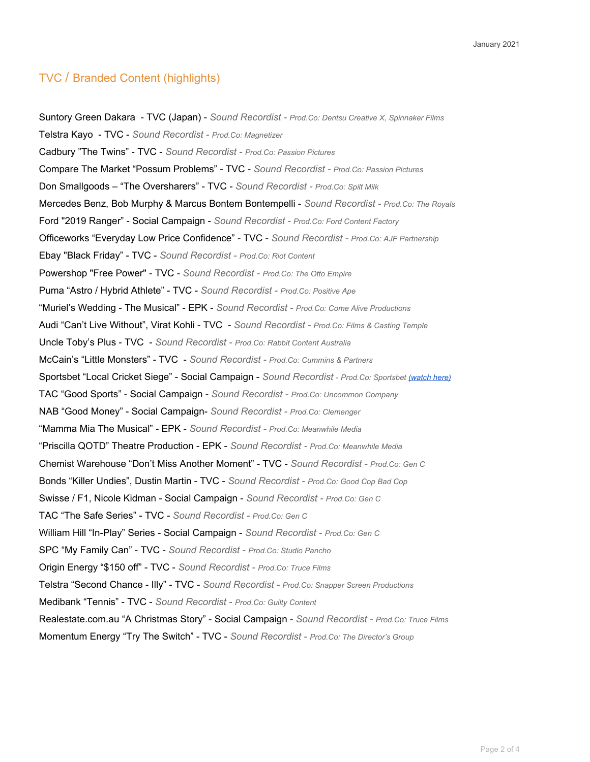# TVC / Branded Content (highlights)

Suntory Green Dakara - TVC (Japan) - *Sound Recordist - Prod.Co: Dentsu Creative X, Spinnaker Films* Telstra Kayo - TVC - *Sound Recordist - Prod.Co: Magnetizer* Cadbury "The Twins" - TVC - *Sound Recordist - Prod.Co: Passion Pictures* Compare The Market "Possum Problems" - TVC - *Sound Recordist - Prod.Co: Passion Pictures* Don Smallgoods – "The Oversharers" - TVC - *Sound Recordist - Prod.Co: Spilt Milk* Mercedes Benz, Bob Murphy & Marcus Bontem Bontempelli - *Sound Recordist - Prod.Co: The Royals* Ford "2019 Ranger" - Social Campaign - *Sound Recordist - Prod.Co: Ford Content Factory* Officeworks "Everyday Low Price Confidence" - TVC - *Sound Recordist - Prod.Co: AJF Partnership* Ebay "Black Friday" - TVC - *Sound Recordist - Prod.Co: Riot Content* Powershop "Free Power" - TVC - *Sound Recordist - Prod.Co: The Otto Empire* Puma "Astro / Hybrid Athlete" - TVC - *Sound Recordist - Prod.Co: Positive Ape* "Muriel's Wedding - The Musical" - EPK - *Sound Recordist - Prod.Co: Come Alive Productions* Audi "Can't Live Without", Virat Kohli - TVC - *Sound Recordist - Prod.Co: Films & Casting Temple* Uncle Toby's Plus - TVC - *Sound Recordist - Prod.Co: Rabbit Content Australia* McCain's "Little Monsters" - TVC - *Sound Recordist - Prod.Co: Cummins & Partners* Sportsbet "Local Cricket Siege" - Social Campaign - *Sound Recordist - Prod.Co: Sportsbet [\(watch](https://www.youtube.com/watch?v=KomZz5Oi0N0) here)* TAC "Good Sports" - Social Campaign - *Sound Recordist - Prod.Co: Uncommon Company* NAB "Good Money" - Social Campaign- *Sound Recordist - Prod.Co: Clemenger* "Mamma Mia The Musical" - EPK - *Sound Recordist - Prod.Co: Meanwhile Media* "Priscilla QOTD" Theatre Production - EPK - *Sound Recordist - Prod.Co: Meanwhile Media* Chemist Warehouse "Don't Miss Another Moment" - TVC - *Sound Recordist - Prod.Co: Gen C* Bonds "Killer Undies", Dustin Martin - TVC - *Sound Recordist - Prod.Co: Good Cop Bad Cop* Swisse / F1, Nicole Kidman - Social Campaign - *Sound Recordist - Prod.Co: Gen C* TAC "The Safe Series" - TVC - *Sound Recordist - Prod.Co: Gen C* William Hill "In-Play" Series - Social Campaign - *Sound Recordist - Prod.Co: Gen C* SPC "My Family Can" - TVC - *Sound Recordist - Prod.Co: Studio Pancho* Origin Energy "\$150 off" - TVC - *Sound Recordist - Prod.Co: Truce Films* Telstra "Second Chance - Illy" - TVC - *Sound Recordist - Prod.Co: Snapper Screen Productions* Medibank "Tennis" - TVC - *Sound Recordist - Prod.Co: Guilty Content* Realestate.com.au "A Christmas Story" - Social Campaign - *Sound Recordist - Prod.Co: Truce Films* Momentum Energy "Try The Switch" - TVC - *Sound Recordist - Prod.Co: The Director's Group*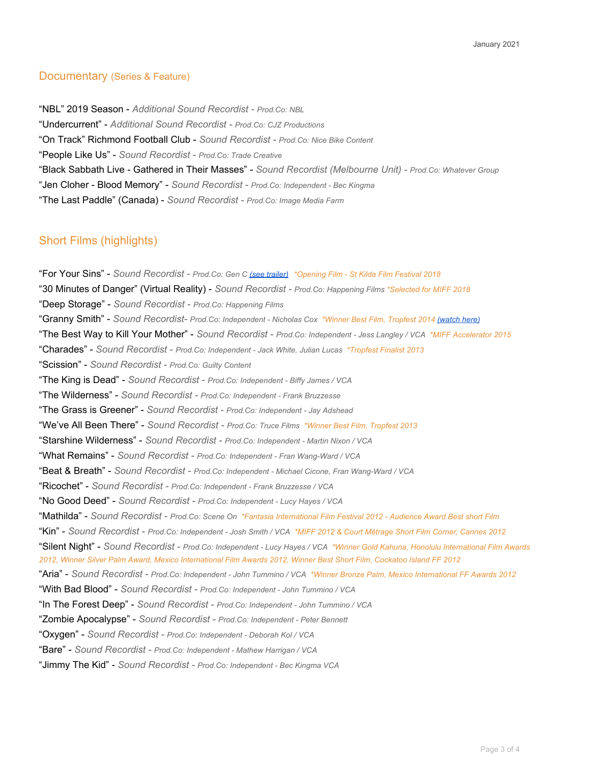## Documentary (Series & Feature)

"NBL" 2019 Season - *Additional Sound Recordist - Prod.Co: NBL* "Undercurrent" - *Additional Sound Recordist - Prod.Co: CJZ Productions* "On Track" Richmond Football Club - *Sound Recordist - Prod.Co: Nice Bike Content* "People Like Us" - *Sound Recordist - Prod.Co: Trade Creative* "Black Sabbath Live - Gathered in Their Masses" - *Sound Recordist (Melbourne Unit) - Prod.Co: Whatever Group* "Jen Cloher - Blood Memory" - *Sound Recordist - Prod.Co: Independent - Bec Kingma* "The Last Paddle" (Canada) - *Sound Recordist - Prod.Co: Image Media Farm*

# Short Films (highlights)

"For Your Sins" - *Sound Recordist - Prod.Co: Gen C (see [trailer\)](https://vimeo.com/268519168) \*Opening Film - St Kilda Film Festival 2018* "30 Minutes of Danger" (Virtual Reality) - *Sound Recordist - Prod.Co: Happening Films \*Selected for MIFF 2018* "Deep Storage" - *Sound Recordist - Prod.Co: Happening Films* "Granny Smith" - *Sound Recordist- Prod.Co: Independent - Nicholas Cox \*Winner Best Film, Tropfest 2014 [\(watch](https://www.youtube.com/watch?v=vZnSAa9Vbl0) here)* "The Best Way to Kill Your Mother" - *Sound Recordist - Prod.Co: Independent - Jess Langley / VCA \*MIFF Accelerator 2015* "Charades" - *Sound Recordist - Prod.Co: Independent - Jack White, Julian Lucas \*Tropfest Finalist 2013* "Scission" - *Sound Recordist - Prod.Co: Guilty Content* "The King is Dead" - *Sound Recordist - Prod.Co: Independent - Biffy James / VCA* "The Wilderness" - *Sound Recordist - Prod.Co: Independent - Frank Bruzzesse* "The Grass is Greener" - *Sound Recordist - Prod.Co: Independent - Jay Adshead* "We've All Been There" - *Sound Recordist - Prod.Co: Truce Films \*Winner Best Film, Tropfest 2013* "Starshine Wilderness" - *Sound Recordist - Prod.Co: Independent - Martin Nixon / VCA* "What Remains" - *Sound Recordist - Prod.Co: Independent - Fran Wang-Ward / VCA* "Beat & Breath" - *Sound Recordist - Prod.Co: Independent - Michael Cicone, Fran Wang-Ward / VCA* "Ricochet" - *Sound Recordist - Prod.Co: Independent - Frank Bruzzesse / VCA* "No Good Deed" - *Sound Recordist - Prod.Co: Independent - Lucy Hayes / VCA* "Mathilda" - Sound Recordist - Prod.Co: Scene On \*Fantasia International Film Festival 2012 - Audience Award Best short Film "Kin" - Sound Recordist - Prod.Co: Independent - Josh Smith / VCA \*MIFF 2012 & Court Métrage Short Film Corner, Cannes 2012 "Silent Night" - Sound Recordist - Prod.Co: Independent - Lucy Hayes / VCA \*Winner Gold Kahuna, Honolulu International Film Awards 2012, Winner Silver Palm Award, Mexico International Film Awards 2012, Winner Best Short Film, Cockatoo Island FF 2012 "Aria" - Sound Recordist - Prod.Co: Independent - John Tummino / VCA \*Winner Bronze Palm, Mexico International FF Awards 2012 "With Bad Blood" - *Sound Recordist - Prod.Co: Independent - John Tummino / VCA* "In The Forest Deep" - *Sound Recordist - Prod.Co: Independent - John Tummino / VCA* "Zombie Apocalypse" - *Sound Recordist - Prod.Co: Independent - Peter Bennett* "Oxygen" - *Sound Recordist - Prod.Co: Independent - Deborah Kol / VCA* "Bare" - *Sound Recordist - Prod.Co: Independent - Mathew Harrigan / VCA* "Jimmy The Kid" - *Sound Recordist - Prod.Co: Independent - Bec Kingma VCA*